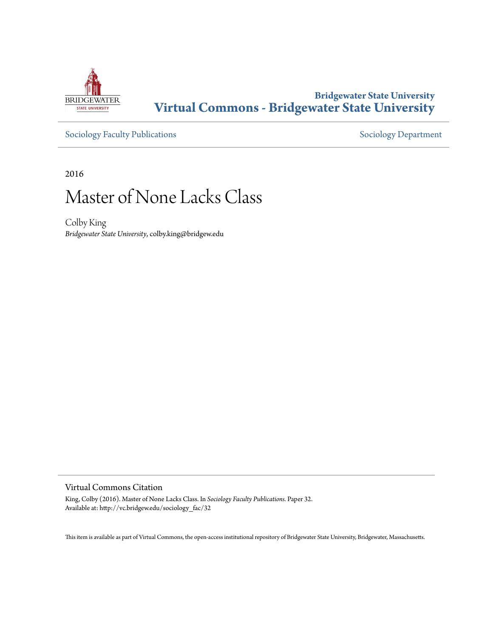

## **Bridgewater State University [Virtual Commons - Bridgewater State University](http://vc.bridgew.edu)**

[Sociology Faculty Publications](http://vc.bridgew.edu/sociology_fac) and [Sociology Department](http://vc.bridgew.edu/sociology)

2016

# Master of None Lacks Class

Colby King *Bridgewater State University*, colby.king@bridgew.edu

### Virtual Commons Citation

King, Colby (2016). Master of None Lacks Class. In *Sociology Faculty Publications.* Paper 32. Available at: http://vc.bridgew.edu/sociology\_fac/32

This item is available as part of Virtual Commons, the open-access institutional repository of Bridgewater State University, Bridgewater, Massachusetts.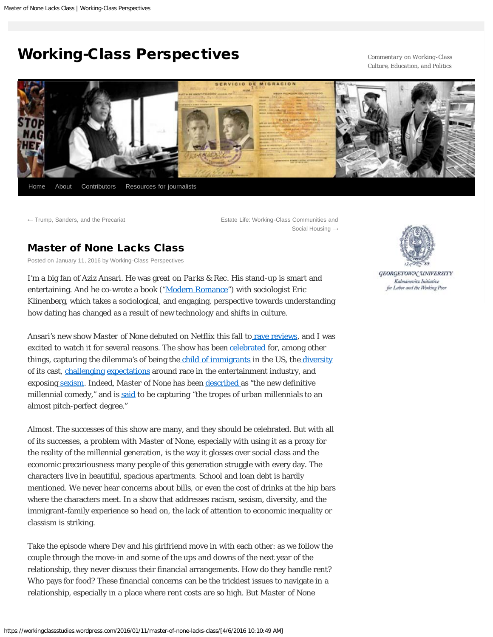## <span id="page-1-0"></span>[Working-Class Perspectives](https://workingclassstudies.wordpress.com/)

*Commentary on Working-Class Culture, Education, and Politics*



[←](https://workingclassstudies.wordpress.com/2016/01/04/trump-sanders-and-the-precariat/) [Trump, Sanders, and the](https://workingclassstudies.wordpress.com/2016/01/04/trump-sanders-and-the-precariat/) Precariat **[Estate Life: Working-Class Communities and](https://workingclassstudies.wordpress.com/2016/01/18/estate-life-working-class-communities-and-social-housing/)** Social [Housing](https://workingclassstudies.wordpress.com/2016/01/18/estate-life-working-class-communities-and-social-housing/) [→](https://workingclassstudies.wordpress.com/2016/01/18/estate-life-working-class-communities-and-social-housing/)

### [Master of None Lacks](#page-1-0) Class

Posted on [January 11, 2016](#page-1-0) by [Working-Class Perspectives](https://workingclassstudies.wordpress.com/author/workingclassstudies/)

I'm a big fan of Aziz Ansari. He was great on *Parks & Rec*. His stand-up is smart and entertaining. And he co-wrote a book ("[Modern Romance"](http://book.azizansari.com/)) with sociologist Eric Klinenberg, which takes a sociological, and engaging, perspective towards understanding how dating has changed as a result of new technology and shifts in culture.

Ansari's new show *Master of None* debuted on Netflix this fall to [rave](http://www.slate.com/articles/arts/television/2015/11/aziz_ansari_s_master_of_none_on_netflix_reviewed_a_truly_great_sitcom.html) [reviews](http://www.nytimes.com/2015/11/06/arts/television/review-aziz-ansari-in-master-of-none-negotiates-technology-and-social-mores.html?smid=fb-nytimes&smtyp=cur), and I was excited to watch it for several reasons. The show has been [celebrated](http://novaknows.com/aziz-ansaris-master-of-none-is-a-culturally-aware-and-profound-masterpiece/) for, among other things, capturing the dilemma's of being the [child of immigrants](https://www.washingtonpost.com/news/arts-and-entertainment/wp/2015/11/12/aziz-ansaris-new-show-perfectly-captures-what-its-like-being-the-child-of-immigrants/?tid=sm_fb) in the US, the [diversity](http://www.refinery29.com/2015/11/97109/aziz-ansari-interview-master-of-none-diversity-minorities-netflix) of its cast, [challenging](http://www.refinery29.com/2015/11/97109/aziz-ansari-interview-master-of-none-diversity-minorities-netflix) [expectations](http://www.bustle.com/articles/122288-how-master-of-none-is-helping-tvs-diversity-problem-by-demystifying-racial-representation) around race in the entertainment industry, and exposin[g sexism](http://www.huffingtonpost.com/entry/master-of-none-on-feminism-and-sexism_56464f7fe4b045bf3def14b3). Indeed, *Master of None* has been [described](http://www.salon.com/2015/11/06/move_over_girls_azis_ansaris_master_of_none_is_the_new_definitive_millennial_comedy/) as "the new definitive millennial comedy," and is [said](http://themuse.jezebel.com/aziz-ansaris-master-of-none-was-made-for-the-netflix-an-1740934892) to be capturing "the tropes of urban millennials to an almost pitch-perfect degree."

Almost. The successes of this show are many, and they should be celebrated. But with all of its successes, a problem with *Master of None*, especially with using it as a proxy for the reality of the millennial generation, is the way it glosses over social class and the economic precariousness many people of this generation struggle with every day. The characters live in beautiful, spacious apartments. School and loan debt is hardly mentioned. We never hear concerns about bills, or even the cost of drinks at the hip bars where the characters meet. In a show that addresses racism, sexism, diversity, and the immigrant-family experience so head on, the lack of attention to economic inequality or classism is striking.

Take the episode where Dev and his girlfriend move in with each other: as we follow the couple through the move-in and some of the ups and downs of the next year of the relationship, they never discuss their financial arrangements. How do they handle rent? Who pays for food? These financial concerns can be the trickiest issues to navigate in a relationship, especially in a place where rent costs are so high. But *Master of None*



GEORGETOWN UNIVERSITY Kalmanovitz Initiative for Labor and the Working Poor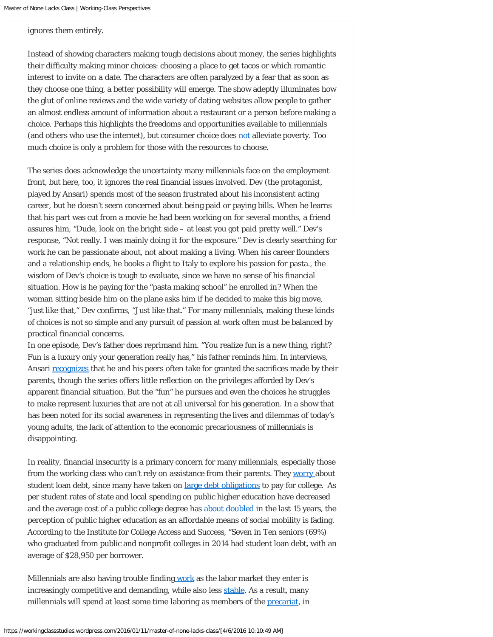ignores them entirely.

Instead of showing characters making tough decisions about money, the series highlights their difficulty making minor choices: choosing a place to get tacos or which romantic interest to invite on a date. The characters are often paralyzed by a fear that as soon as they choose one thing, a better possibility will emerge. The show adeptly illuminates how the glut of online reviews and the wide variety of dating websites allow people to gather an almost endless amount of information about a restaurant or a person before making a choice. Perhaps this highlights the freedoms and opportunities available to millennials (and others who use the internet), but consumer choice does [not](http://www.dailykos.com/story/2014/5/1/1296098/-No-Owning-A-Flat-Screen-TV-Doesn-t-Mean-You-re-Not-Poor) alleviate poverty. Too much choice is only a problem for those with the resources to choose.

The series does acknowledge the uncertainty many millennials face on the employment front, but here, too, it ignores the real financial issues involved. Dev (the protagonist, played by Ansari) spends most of the season frustrated about his inconsistent acting career, but he doesn't seem concerned about being paid or paying bills. When he learns that his part was cut from a movie he had been working on for several months, a friend assures him, "Dude, look on the bright side – at least you got paid pretty well." Dev's response, "Not really. I was mainly doing it for the exposure." Dev is clearly searching for work he can be passionate about, not about making a living. When his career flounders and a relationship ends, he books a flight to Italy to explore his passion for pasta., the wisdom of Dev's choice is tough to evaluate, since we have no sense of his financial situation. How is he paying for the "pasta making school" he enrolled in? When the woman sitting beside him on the plane asks him if he decided to make this big move, "just like that," Dev confirms, "Just like that." For many millennials, making these kinds of choices is not so simple and any pursuit of passion at work often must be balanced by practical financial concerns.

In one episode, Dev's father does reprimand him. "You realize fun is a new thing, right? Fun is a luxury only your generation really has," his father reminds him. In interviews, Ansari [recognizes](http://www.npr.org/2015/11/05/454755962/ansari-and-yang-explore-the-first-generation-experience-in-master-of-none) that he and his peers often take for granted the sacrifices made by their parents, though the series offers little reflection on the privileges afforded by Dev's apparent financial situation. But the "fun" he pursues and even the choices he struggles to make represent luxuries that are not at all universal for his generation. In a show that has been noted for its social awareness in representing the lives and dilemmas of today's young adults, the lack of attention to the economic precariousness of millennials is disappointing.

In reality, financial insecurity is a primary concern for many millennials, especially those from the working class who can't rely on assistance from their parents. They [worry a](http://www.theatlantic.com/business/archive/2015/06/millennials-student-loan-debt-money/396275/)bout student loan debt, since many have taken on [large debt obligations](http://www.nytimes.com/2012/05/13/business/student-loans-weighing-down-a-generation-with-heavy-debt.html?pagewanted=all&_r=0) to pay for college. As per student rates of state and local spending on public higher education have decreased and the average cost of a public college degree has [about doubled](http://federalstudentaid.ed.gov/static/gw/docs/FiveYearPlan_2012.pdf) in the last 15 years, the perception of public higher education as an affordable means of social mobility is fading. According to the Institute for College Access and Success, "Seven in Ten seniors (69%) who graduated from public and nonprofit colleges in 2014 had student loan debt, with an average of \$28,950 per borrower.

Millennials are also having trouble finding [work](http://www.epi.org/blog/millennials-arent-lazy-millennials-arent-working-because-the-economy-isnt-either/) as the labor market they enter is increasingly competitive and demanding, while also less [stable](https://www.bostonglobe.com/business/2015/09/25/millennials-must-contend-with-labor-market-that-more-mobile-and-competitive/v1heSmdXIqiPhQu6s1IfIO/story.html). As a result, many millennials will spend at least some time laboring as members of the [precariat,](https://workingclassstudies.wordpress.com/2014/10/27/the-precariat-the-new-dangerous-class/) in